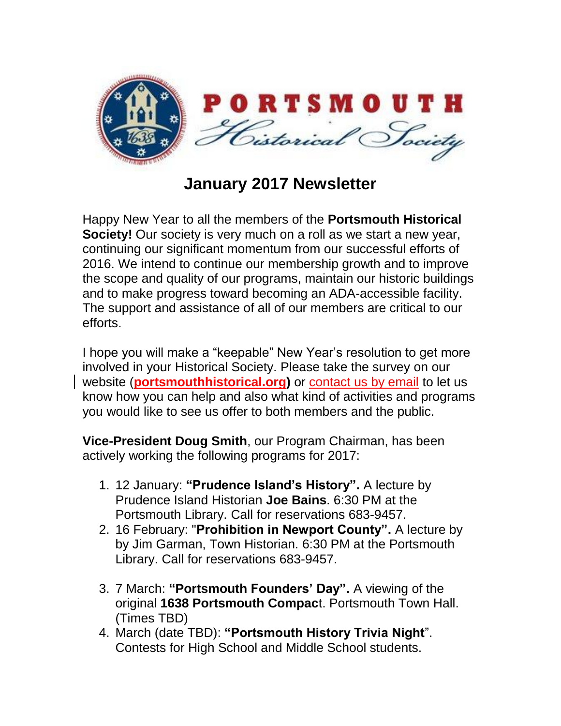

**January 2017 Newsletter**

Happy New Year to all the members of the **Portsmouth Historical Society!** Our society is very much on a roll as we start a new year, continuing our significant momentum from our successful efforts of 2016. We intend to continue our membership growth and to improve the scope and quality of our programs, maintain our historic buildings and to make progress toward becoming an ADA-accessible facility. The support and assistance of all of our members are critical to our efforts.

I hope you will make a "keepable" New Year's resolution to get more involved in your Historical Society. Please take the survey on our website (**[portsmouthhistorical.org\)](http://www.portsmouthhistorical.org/)** or [contact us by email](mailto:PHSBoard@PortsmouthHistorical.org) to let us know how you can help and also what kind of activities and programs you would like to see us offer to both members and the public.

**Vice-President Doug Smith**, our Program Chairman, has been actively working the following programs for 2017:

- 1. 12 January: **"Prudence Island's History".** A lecture by Prudence Island Historian **Joe Bains**. 6:30 PM at the Portsmouth Library. Call for reservations 683-9457.
- 2. 16 February: "**Prohibition in Newport County".** A lecture by by Jim Garman, Town Historian. 6:30 PM at the Portsmouth Library. Call for reservations 683-9457.
- 3. 7 March: **"Portsmouth Founders' Day".** A viewing of the original **1638 Portsmouth Compac**t. Portsmouth Town Hall. (Times TBD)
- 4. March (date TBD): **"Portsmouth History Trivia Night**". Contests for High School and Middle School students.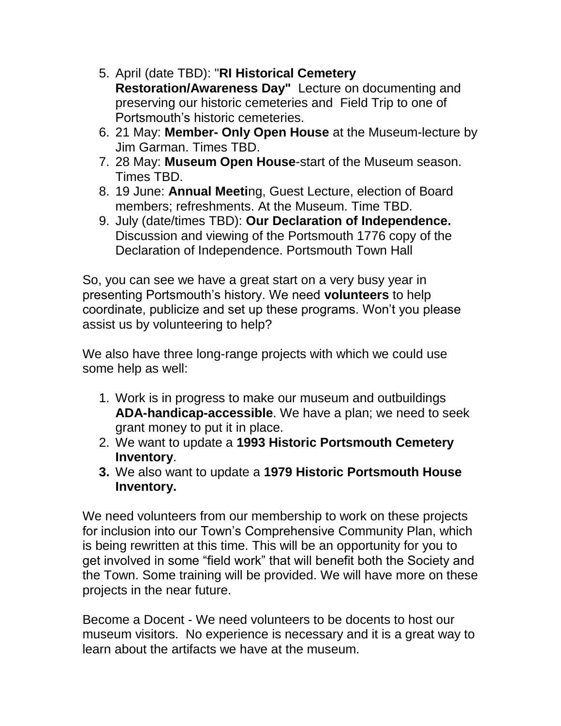- 5. April (date TBD): "**RI Historical Cemetery Restoration/Awareness Day"** Lecture on documenting and preserving our historic cemeteries and Field Trip to one of Portsmouth's historic cemeteries.
- 6. 21 May: **Member- Only Open House** at the Museum-lecture by Jim Garman. Times TBD.
- 7. 28 May: **Museum Open House**-start of the Museum season. Times TBD.
- 8. 19 June: **Annual Meeti**ng, Guest Lecture, election of Board members; refreshments. At the Museum. Time TBD.
- 9. July (date/times TBD): **Our Declaration of Independence.** Discussion and viewing of the Portsmouth 1776 copy of the Declaration of Independence. Portsmouth Town Hall

So, you can see we have a great start on a very busy year in presenting Portsmouth's history. We need **volunteers** to help coordinate, publicize and set up these programs. Won't you please assist us by volunteering to help?

We also have three long-range projects with which we could use some help as well:

- 1. Work is in progress to make our museum and outbuildings **ADA-handicap-accessible**. We have a plan; we need to seek grant money to put it in place.
- 2. We want to update a **1993 Historic Portsmouth Cemetery Inventory**.
- **3.** We also want to update a **1979 Historic Portsmouth House Inventory.**

We need volunteers from our membership to work on these projects for inclusion into our Town's Comprehensive Community Plan, which is being rewritten at this time. This will be an opportunity for you to get involved in some "field work" that will benefit both the Society and the Town. Some training will be provided. We will have more on these projects in the near future.

Become a Docent - We need volunteers to be docents to host our museum visitors. No experience is necessary and it is a great way to learn about the artifacts we have at the museum.